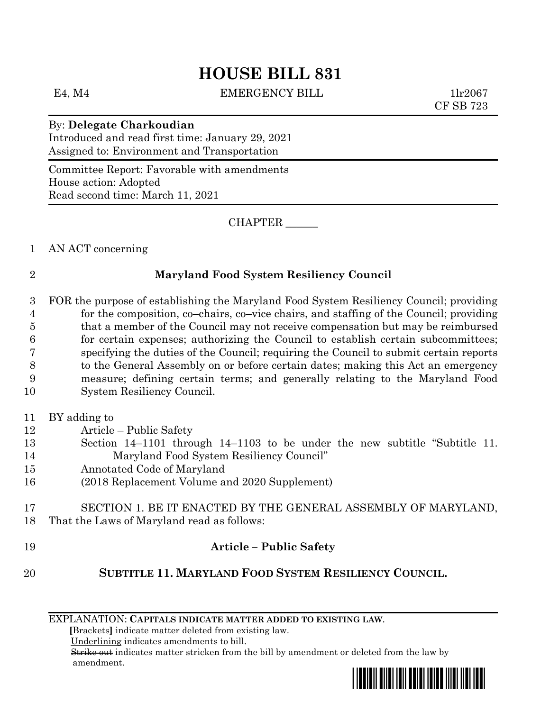# **HOUSE BILL 831**

E4, M4 EMERGENCY BILL 1lr2067

CF SB 723

By: **Delegate Charkoudian** Introduced and read first time: January 29, 2021 Assigned to: Environment and Transportation

Committee Report: Favorable with amendments House action: Adopted Read second time: March 11, 2021

CHAPTER \_\_\_\_\_\_

1 AN ACT concerning

### 2 **Maryland Food System Resiliency Council**

- 3 FOR the purpose of establishing the Maryland Food System Resiliency Council; providing 4 for the composition, co–chairs, co–vice chairs, and staffing of the Council; providing 5 that a member of the Council may not receive compensation but may be reimbursed 6 for certain expenses; authorizing the Council to establish certain subcommittees; 7 specifying the duties of the Council; requiring the Council to submit certain reports 8 to the General Assembly on or before certain dates; making this Act an emergency 9 measure; defining certain terms; and generally relating to the Maryland Food 10 System Resiliency Council.
- 11 BY adding to
- 12 Article Public Safety
- 13 Section 14–1101 through 14–1103 to be under the new subtitle "Subtitle 11. 14 Maryland Food System Resiliency Council"
- 15 Annotated Code of Maryland
- 16 (2018 Replacement Volume and 2020 Supplement)
- 17 SECTION 1. BE IT ENACTED BY THE GENERAL ASSEMBLY OF MARYLAND, 18 That the Laws of Maryland read as follows:
- 19 **Article – Public Safety**

## 20 **SUBTITLE 11. MARYLAND FOOD SYSTEM RESILIENCY COUNCIL.**

EXPLANATION: **CAPITALS INDICATE MATTER ADDED TO EXISTING LAW**.

 **[**Brackets**]** indicate matter deleted from existing law.

Underlining indicates amendments to bill.

 Strike out indicates matter stricken from the bill by amendment or deleted from the law by amendment.

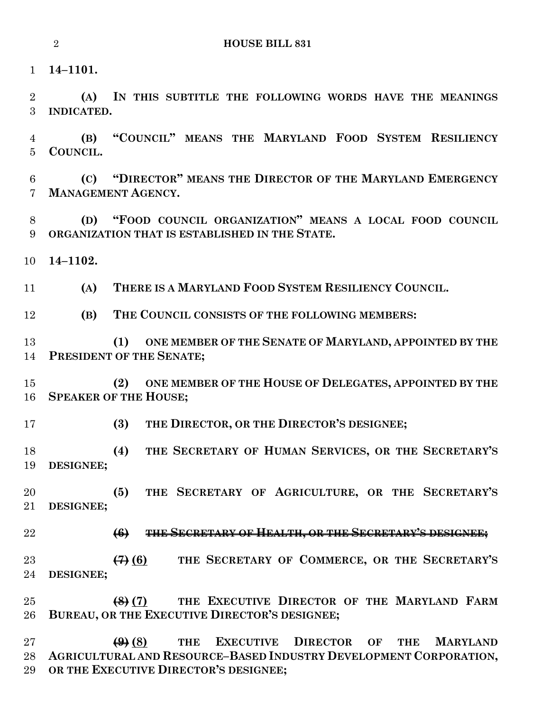**14–1101.**

 **(A) IN THIS SUBTITLE THE FOLLOWING WORDS HAVE THE MEANINGS INDICATED.**

 **(B) "COUNCIL" MEANS THE MARYLAND FOOD SYSTEM RESILIENCY COUNCIL.**

 **(C) "DIRECTOR" MEANS THE DIRECTOR OF THE MARYLAND EMERGENCY MANAGEMENT AGENCY.**

 **(D) "FOOD COUNCIL ORGANIZATION" MEANS A LOCAL FOOD COUNCIL ORGANIZATION THAT IS ESTABLISHED IN THE STATE.**

**14–1102.**

**(A) THERE IS A MARYLAND FOOD SYSTEM RESILIENCY COUNCIL.**

**(B) THE COUNCIL CONSISTS OF THE FOLLOWING MEMBERS:**

 **(1) ONE MEMBER OF THE SENATE OF MARYLAND, APPOINTED BY THE PRESIDENT OF THE SENATE;**

 **(2) ONE MEMBER OF THE HOUSE OF DELEGATES, APPOINTED BY THE SPEAKER OF THE HOUSE;**

**(3) THE DIRECTOR, OR THE DIRECTOR'S DESIGNEE;**

 **(4) THE SECRETARY OF HUMAN SERVICES, OR THE SECRETARY'S DESIGNEE;**

 **(5) THE SECRETARY OF AGRICULTURE, OR THE SECRETARY'S DESIGNEE;**

**(6) THE SECRETARY OF HEALTH, OR THE SECRETARY'S DESIGNEE;**

 **(7) (6) THE SECRETARY OF COMMERCE, OR THE SECRETARY'S DESIGNEE;**

 **(8) (7) THE EXECUTIVE DIRECTOR OF THE MARYLAND FARM BUREAU, OR THE EXECUTIVE DIRECTOR'S DESIGNEE;**

 **(9) (8) THE EXECUTIVE DIRECTOR OF THE MARYLAND AGRICULTURAL AND RESOURCE–BASED INDUSTRY DEVELOPMENT CORPORATION, OR THE EXECUTIVE DIRECTOR'S DESIGNEE;**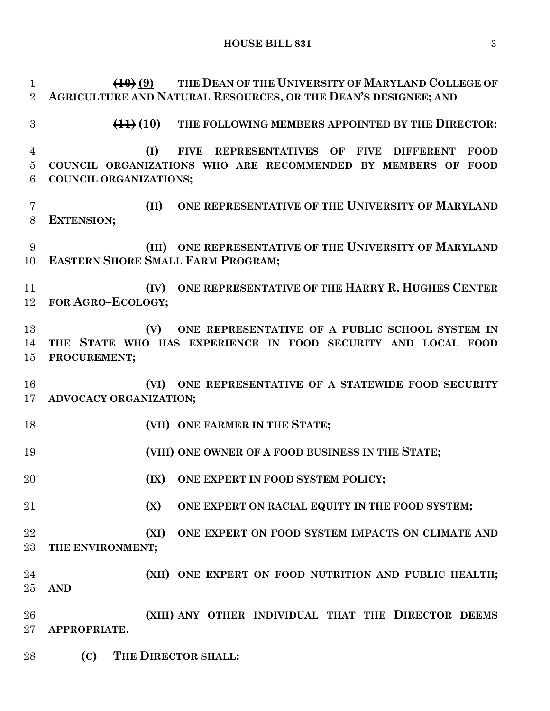**HOUSE BILL 831** 3

 **(10) (9) THE DEAN OF THE UNIVERSITY OF MARYLAND COLLEGE OF AGRICULTURE AND NATURAL RESOURCES, OR THE DEAN'S DESIGNEE; AND (11) (10) THE FOLLOWING MEMBERS APPOINTED BY THE DIRECTOR: (I) FIVE REPRESENTATIVES OF FIVE DIFFERENT FOOD COUNCIL ORGANIZATIONS WHO ARE RECOMMENDED BY MEMBERS OF FOOD COUNCIL ORGANIZATIONS; (II) ONE REPRESENTATIVE OF THE UNIVERSITY OF MARYLAND EXTENSION; (III) ONE REPRESENTATIVE OF THE UNIVERSITY OF MARYLAND EASTERN SHORE SMALL FARM PROGRAM; (IV) ONE REPRESENTATIVE OF THE HARRY R. HUGHES CENTER FOR AGRO–ECOLOGY; (V) ONE REPRESENTATIVE OF A PUBLIC SCHOOL SYSTEM IN THE STATE WHO HAS EXPERIENCE IN FOOD SECURITY AND LOCAL FOOD PROCUREMENT; (VI) ONE REPRESENTATIVE OF A STATEWIDE FOOD SECURITY ADVOCACY ORGANIZATION; (VII) ONE FARMER IN THE STATE; (VIII) ONE OWNER OF A FOOD BUSINESS IN THE STATE; (IX) ONE EXPERT IN FOOD SYSTEM POLICY; (X) ONE EXPERT ON RACIAL EQUITY IN THE FOOD SYSTEM; (XI) ONE EXPERT ON FOOD SYSTEM IMPACTS ON CLIMATE AND THE ENVIRONMENT; (XII) ONE EXPERT ON FOOD NUTRITION AND PUBLIC HEALTH; AND (XIII) ANY OTHER INDIVIDUAL THAT THE DIRECTOR DEEMS APPROPRIATE.**

**(C) THE DIRECTOR SHALL:**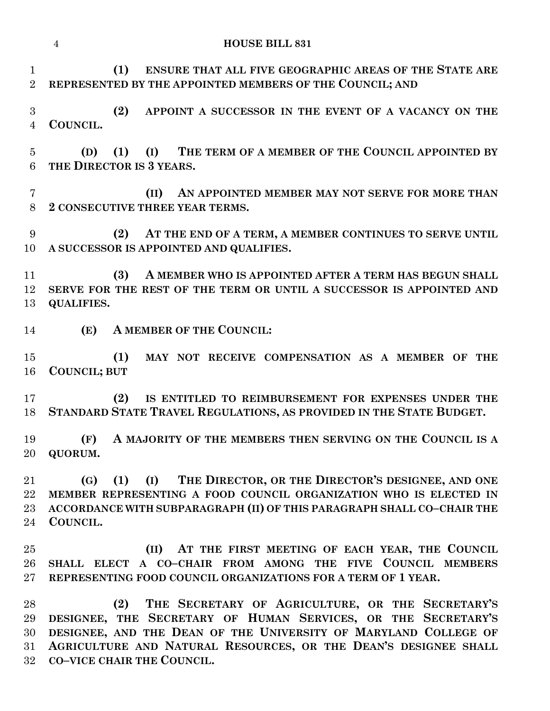|                                | $\overline{4}$<br><b>HOUSE BILL 831</b>                                                                                                                                                                                                                                                      |
|--------------------------------|----------------------------------------------------------------------------------------------------------------------------------------------------------------------------------------------------------------------------------------------------------------------------------------------|
| $\mathbf{1}$<br>$\overline{2}$ | (1)<br>ENSURE THAT ALL FIVE GEOGRAPHIC AREAS OF THE STATE ARE<br>REPRESENTED BY THE APPOINTED MEMBERS OF THE COUNCIL; AND                                                                                                                                                                    |
| 3<br>$\overline{4}$            | (2)<br>APPOINT A SUCCESSOR IN THE EVENT OF A VACANCY ON THE<br>COUNCIL.                                                                                                                                                                                                                      |
| $\overline{5}$<br>6            | (I) THE TERM OF A MEMBER OF THE COUNCIL APPOINTED BY<br>(D)<br>(1)<br>THE DIRECTOR IS 3 YEARS.                                                                                                                                                                                               |
| 7<br>8                         | AN APPOINTED MEMBER MAY NOT SERVE FOR MORE THAN<br>(II)<br>2 CONSECUTIVE THREE YEAR TERMS.                                                                                                                                                                                                   |
| 9<br>10                        | AT THE END OF A TERM, A MEMBER CONTINUES TO SERVE UNTIL<br>(2)<br>A SUCCESSOR IS APPOINTED AND QUALIFIES.                                                                                                                                                                                    |
| 11<br>12<br>13                 | A MEMBER WHO IS APPOINTED AFTER A TERM HAS BEGUN SHALL<br>(3)<br>SERVE FOR THE REST OF THE TERM OR UNTIL A SUCCESSOR IS APPOINTED AND<br><b>QUALIFIES.</b>                                                                                                                                   |
| 14                             | (E) A MEMBER OF THE COUNCIL:                                                                                                                                                                                                                                                                 |
| 15<br>16                       | MAY NOT RECEIVE COMPENSATION AS A MEMBER OF THE<br>(1)<br>COUNCIL; BUT                                                                                                                                                                                                                       |
| 17<br>18                       | IS ENTITLED TO REIMBURSEMENT FOR EXPENSES UNDER THE<br>(2)<br>STANDARD STATE TRAVEL REGULATIONS, AS PROVIDED IN THE STATE BUDGET.                                                                                                                                                            |
| 19<br>20                       | (F) A MAJORITY OF THE MEMBERS THEN SERVING ON THE COUNCIL IS A<br>QUORUM.                                                                                                                                                                                                                    |
| 21<br>$22\,$<br>23<br>24       | THE DIRECTOR, OR THE DIRECTOR'S DESIGNEE, AND ONE<br>$\rm (G)$<br>(1)<br>(I)<br>MEMBER REPRESENTING A FOOD COUNCIL ORGANIZATION WHO IS ELECTED IN<br>ACCORDANCE WITH SUBPARAGRAPH (II) OF THIS PARAGRAPH SHALL CO-CHAIR THE<br>COUNCIL.                                                      |
| 25<br>26<br>$27\,$             | AT THE FIRST MEETING OF EACH YEAR, THE COUNCIL<br>(II)<br>SHALL ELECT A CO-CHAIR FROM AMONG THE FIVE COUNCIL MEMBERS<br>REPRESENTING FOOD COUNCIL ORGANIZATIONS FOR A TERM OF 1 YEAR.                                                                                                        |
| 28<br>29<br>30<br>31<br>$32\,$ | THE SECRETARY OF AGRICULTURE, OR THE SECRETARY'S<br>(2)<br>DESIGNEE, THE SECRETARY OF HUMAN SERVICES, OR THE SECRETARY'S<br>DESIGNEE, AND THE DEAN OF THE UNIVERSITY OF MARYLAND COLLEGE OF<br>AGRICULTURE AND NATURAL RESOURCES, OR THE DEAN'S DESIGNEE SHALL<br>CO-VICE CHAIR THE COUNCIL. |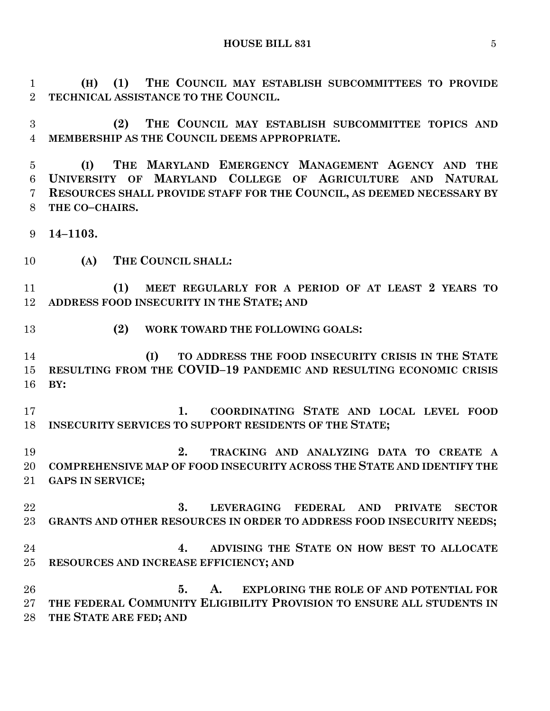**HOUSE BILL 831** 5

 **(H) (1) THE COUNCIL MAY ESTABLISH SUBCOMMITTEES TO PROVIDE TECHNICAL ASSISTANCE TO THE COUNCIL.**

 **(2) THE COUNCIL MAY ESTABLISH SUBCOMMITTEE TOPICS AND MEMBERSHIP AS THE COUNCIL DEEMS APPROPRIATE.**

 **(I) THE MARYLAND EMERGENCY MANAGEMENT AGENCY AND THE UNIVERSITY OF MARYLAND COLLEGE OF AGRICULTURE AND NATURAL RESOURCES SHALL PROVIDE STAFF FOR THE COUNCIL, AS DEEMED NECESSARY BY THE CO–CHAIRS.**

**14–1103.**

**(A) THE COUNCIL SHALL:**

 **(1) MEET REGULARLY FOR A PERIOD OF AT LEAST 2 YEARS TO ADDRESS FOOD INSECURITY IN THE STATE; AND** 

**(2) WORK TOWARD THE FOLLOWING GOALS:**

 **(I) TO ADDRESS THE FOOD INSECURITY CRISIS IN THE STATE RESULTING FROM THE COVID–19 PANDEMIC AND RESULTING ECONOMIC CRISIS BY:**

 **1. COORDINATING STATE AND LOCAL LEVEL FOOD INSECURITY SERVICES TO SUPPORT RESIDENTS OF THE STATE;**

 **2. TRACKING AND ANALYZING DATA TO CREATE A COMPREHENSIVE MAP OF FOOD INSECURITY ACROSS THE STATE AND IDENTIFY THE GAPS IN SERVICE;**

 **3. LEVERAGING FEDERAL AND PRIVATE SECTOR GRANTS AND OTHER RESOURCES IN ORDER TO ADDRESS FOOD INSECURITY NEEDS;**

 **4. ADVISING THE STATE ON HOW BEST TO ALLOCATE RESOURCES AND INCREASE EFFICIENCY; AND** 

 **5. A. EXPLORING THE ROLE OF AND POTENTIAL FOR THE FEDERAL COMMUNITY ELIGIBILITY PROVISION TO ENSURE ALL STUDENTS IN THE STATE ARE FED; AND**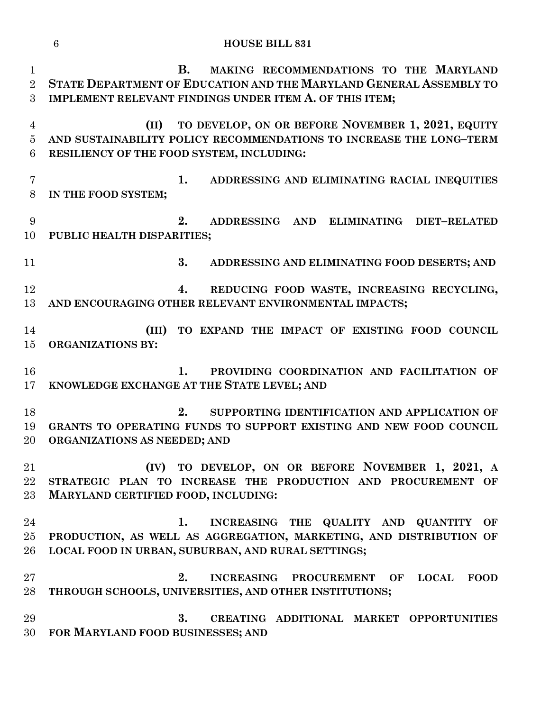|                                       | $6\phantom{.}6$<br><b>HOUSE BILL 831</b>                                                                                                                                             |
|---------------------------------------|--------------------------------------------------------------------------------------------------------------------------------------------------------------------------------------|
| $\mathbf{1}$<br>$\overline{2}$<br>3   | <b>B.</b><br>MAKING RECOMMENDATIONS TO THE MARYLAND<br>STATE DEPARTMENT OF EDUCATION AND THE MARYLAND GENERAL ASSEMBLY TO<br>IMPLEMENT RELEVANT FINDINGS UNDER ITEM A. OF THIS ITEM; |
| $\overline{4}$<br>$\overline{5}$<br>6 | TO DEVELOP, ON OR BEFORE NOVEMBER 1, 2021, EQUITY<br>(II)<br>AND SUSTAINABILITY POLICY RECOMMENDATIONS TO INCREASE THE LONG-TERM<br>RESILIENCY OF THE FOOD SYSTEM, INCLUDING:        |
| $\overline{7}$<br>$8\,$               | 1.<br>ADDRESSING AND ELIMINATING RACIAL INEQUITIES<br>IN THE FOOD SYSTEM;                                                                                                            |
| 9<br>10                               | 2.<br>ADDRESSING AND ELIMINATING DIET-RELATED<br>PUBLIC HEALTH DISPARITIES;                                                                                                          |
| 11                                    | 3.<br>ADDRESSING AND ELIMINATING FOOD DESERTS; AND                                                                                                                                   |
| 12<br>13                              | REDUCING FOOD WASTE, INCREASING RECYCLING,<br>4.<br>AND ENCOURAGING OTHER RELEVANT ENVIRONMENTAL IMPACTS;                                                                            |
| 14<br>15                              | TO EXPAND THE IMPACT OF EXISTING FOOD COUNCIL<br>(III)<br><b>ORGANIZATIONS BY:</b>                                                                                                   |
| 16<br>17                              | PROVIDING COORDINATION AND FACILITATION OF<br>1.<br>KNOWLEDGE EXCHANGE AT THE STATE LEVEL; AND                                                                                       |
| 18<br>19<br>20                        | 2.<br>SUPPORTING IDENTIFICATION AND APPLICATION OF<br>GRANTS TO OPERATING FUNDS TO SUPPORT EXISTING AND NEW FOOD COUNCIL<br>ORGANIZATIONS AS NEEDED; AND                             |
| 21<br>22<br>$23\,$                    | (IV) TO DEVELOP, ON OR BEFORE NOVEMBER 1, 2021, A<br>STRATEGIC PLAN TO INCREASE THE PRODUCTION AND PROCUREMENT OF<br>MARYLAND CERTIFIED FOOD, INCLUDING:                             |
| 24<br>25<br>26                        | INCREASING THE QUALITY AND QUANTITY<br>1.<br>OF<br>PRODUCTION, AS WELL AS AGGREGATION, MARKETING, AND DISTRIBUTION OF<br>LOCAL FOOD IN URBAN, SUBURBAN, AND RURAL SETTINGS;          |
| $27\,$<br>28                          | 2.<br><b>INCREASING</b><br>PROCUREMENT OF<br><b>LOCAL</b><br><b>FOOD</b><br>THROUGH SCHOOLS, UNIVERSITIES, AND OTHER INSTITUTIONS;                                                   |
| 29<br>30                              | 3.<br>CREATING ADDITIONAL MARKET OPPORTUNITIES<br>FOR MARYLAND FOOD BUSINESSES; AND                                                                                                  |